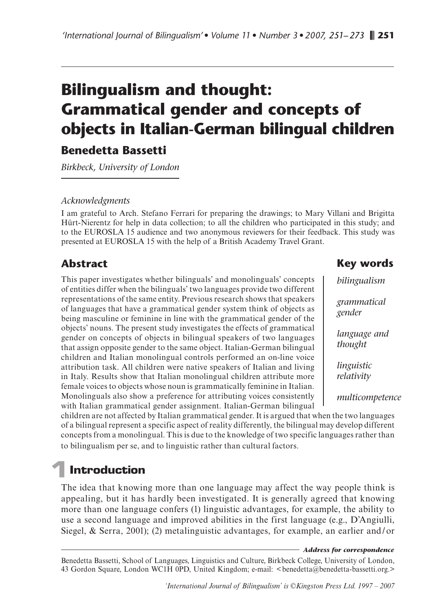# **Bilingualism and thought: Grammatical gender and concepts of objects in Italian-German bilingual children**

### **Benedetta Bassetti**

*Birkbeck, University of London*

### *Acknowledgments*

I am grateful to Arch. Stefano Ferrari for preparing the drawings; to Mary Villani and Brigitta Hürt-Nierentz for help in data collection; to all the children who participated in this study; and to the EUROSLA 15 audience and two anonymous reviewers for their feedback. This study was presented at EUROSLA 15 with the help of a British Academy Travel Grant.

### **Abstract**

This paper investigates whether bilinguals' and monolinguals' concepts of entities differ when the bilinguals' two languages provide two different representations of the same entity. Previous research shows that speakers of languages that have a grammatical gender system think of objects as being masculine or feminine in line with the grammatical gender of the objects' nouns. The present study investigates the effects of grammatical gender on concepts of objects in bilingual speakers of two languages that assign opposite gender to the same object. Italian-German bilingual children and Italian monolingual controls performed an on-line voice attribution task. All children were native speakers of Italian and living in Italy. Results show that Italian monolingual children attribute more female voices to objects whose noun is grammatically feminine in Italian. Monolinguals also show a preference for attributing voices consistently with Italian grammatical gender assignment. Italian-German bilingual

| bilingualism             |
|--------------------------|
| grammatical<br>gender    |
| language and<br>thought  |
| linguistic<br>relativity |

**Key words**

*multicompetence*

children are not affected by Italian grammatical gender. It is argued that when the two languages of a bilingual represent a specific aspect of reality differently, the bilingual may develop different concepts from a monolingual. This is due to the knowledge of two specific languages rather than to bilingualism per se, and to linguistic rather than cultural factors.

# **1Introduction**

The idea that knowing more than one language may affect the way people think is appealing, but it has hardly been investigated. It is generally agreed that knowing more than one language confers (1) linguistic advantages, for example, the ability to use a second language and improved abilities in the first language (e.g., D'Angiulli, Siegel, & Serra, 2001); (2) metalinguistic advantages, for example, an earlier and/or

#### *Address for correspondence*

Benedetta Bassetti, School of Languages, Linguistics and Culture, Birkbeck College, University of London, 43 Gordon Square, London WC1H 0PD, United Kingdom; e-mail: <br/>benedetta@benedetta-bassetti.org.>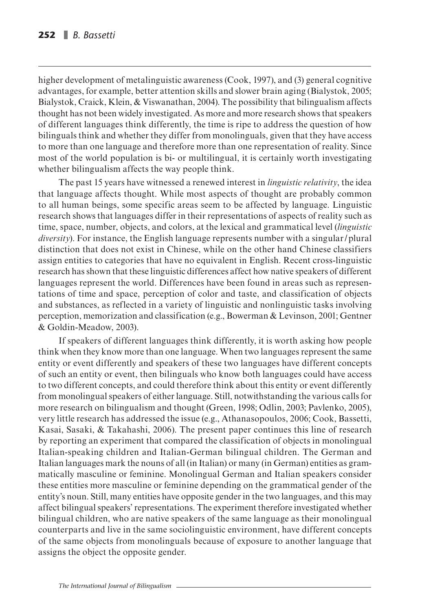higher development of metalinguistic awareness (Cook, 1997), and (3) general cognitive advantages, for example, better attention skills and slower brain aging (Bialystok, 2005; Bialystok, Craick, Klein, & Viswanathan, 2004). The possibility that bilingualism affects thought has not been widely investigated. As more and more research shows that speakers of different languages think differently, the time is ripe to address the question of how bilinguals think and whether they differ from monolinguals, given that they have access to more than one language and therefore more than one representation of reality. Since most of the world population is bi- or multilingual, it is certainly worth investigating whether bilingualism affects the way people think.

The past 15 years have witnessed a renewed interest in *linguistic relativity*, the idea that language affects thought. While most aspects of thought are probably common to all human beings, some specific areas seem to be affected by language. Linguistic research shows that languages differ in their representations of aspects of reality such as time, space, number, objects, and colors, at the lexical and grammatical level (*linguistic diversity*). For instance, the English language represents number with a singular/plural distinction that does not exist in Chinese, while on the other hand Chinese classifiers assign entities to categories that have no equivalent in English. Recent cross-linguistic research hasshown that these linguistic differences affect how native speakers of different languages represent the world. Differences have been found in areas such as representations of time and space, perception of color and taste, and classification of objects and substances, as reflected in a variety of linguistic and nonlinguistic tasks involving perception, memorization and classification (e.g., Bowerman & Levinson, 2001; Gentner & Goldin-Meadow, 2003).

If speakers of different languages think differently, it is worth asking how people think when they know more than one language. When two languagesrepresent the same entity or event differently and speakers of these two languages have different concepts of such an entity or event, then bilinguals who know both languages could have access to two different concepts, and could therefore think about this entity or event differently from monolingual speakers of either language. Still, notwithstanding the various calls for more research on bilingualism and thought (Green, 1998; Odlin, 2003; Pavlenko, 2005), very little research has addressed the issue (e.g., Athanasopoulos, 2006; Cook, Bassetti, Kasai, Sasaki, & Takahashi, 2006). The present paper continues this line of research by reporting an experiment that compared the classification of objects in monolingual Italian-speaking children and Italian-German bilingual children. The German and Italian languages mark the nouns of all (in Italian) or many (in German) entities as grammatically masculine or feminine. Monolingual German and Italian speakers consider these entities more masculine or feminine depending on the grammatical gender of the entity's noun. Still, many entities have opposite genderin the two languages, and this may affect bilingualspeakers'representations. The experiment therefore investigated whether bilingual children, who are native speakers of the same language as their monolingual counterparts and live in the same sociolinguistic environment, have different concepts of the same objects from monolinguals because of exposure to another language that assigns the object the opposite gender.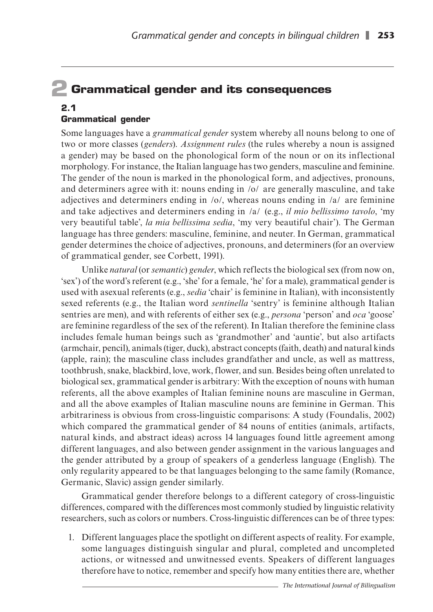# **2 Grammatical gender and its consequences**

#### **2.1 Grammatical gender**

Some languages have a *grammatical gender* system whereby all nouns belong to one of two or more classes (*genders*). *Assignment rules* (the rules whereby a noun is assigned a gender) may be based on the phonological form of the noun or on its inflectional morphology. For instance, the Italian language has two genders, masculine and feminine. The gender of the noun is marked in the phonological form, and adjectives, pronouns, and determiners agree with it: nouns ending in /o/ are generally masculine, and take adjectives and determiners ending in /o/, whereas nouns ending in /a/ are feminine and take adjectives and determiners ending in /a/ (e.g., *il mio bellissimo tavolo*, 'my very beautiful table', *la mia bellissima sedia*, 'my very beautiful chair'). The German language has three genders: masculine, feminine, and neuter. In German, grammatical gender determines the choice of adjectives, pronouns, and determiners (for an overview of grammatical gender, see Corbett, 1991).

Unlike *natural* (or *semantic*) *gender*, which reflects the biological sex (from now on, 'sex') of the word's referent (e.g., 'she' for a female, 'he' for a male), grammatical gender is used with asexual referents (e.g., *sedia* 'chair' is feminine in Italian), with inconsistently sexed referents (e.g., the Italian word *sentinella* 'sentry' is feminine although Italian sentries are men), and with referents of either sex (e.g., *persona* 'person' and *oca* 'goose' are feminine regardless of the sex of the referent). In Italian therefore the feminine class includes female human beings such as 'grandmother' and 'auntie', but also artifacts (armchair, pencil), animals(tiger, duck), abstract concepts(faith, death) and natural kinds (apple, rain); the masculine class includes grandfather and uncle, as well as mattress, toothbrush,snake, blackbird, love, work, flower, and sun. Besides being often unrelated to biological sex, grammatical gender is arbitrary: With the exception of nouns with human referents, all the above examples of Italian feminine nouns are masculine in German, and all the above examples of Italian masculine nouns are feminine in German. This arbitrariness is obvious from cross-linguistic comparisons: A study (Foundalis, 2002) which compared the grammatical gender of 84 nouns of entities (animals, artifacts, natural kinds, and abstract ideas) across 14 languages found little agreement among different languages, and also between gender assignment in the various languages and the gender attributed by a group of speakers of a genderless language (English). The only regularity appeared to be that languages belonging to the same family (Romance, Germanic, Slavic) assign gender similarly.

Grammatical gender therefore belongs to a different category of cross-linguistic differences, compared with the differences most commonly studied by linguistic relativity researchers, such as colors or numbers. Cross-linguistic differences can be of three types:

1. Different languages place the spotlight on different aspects ofreality. For example, some languages distinguish singular and plural, completed and uncompleted actions, or witnessed and unwitnessed events. Speakers of different languages therefore have to notice, remember and specify how many entities there are, whether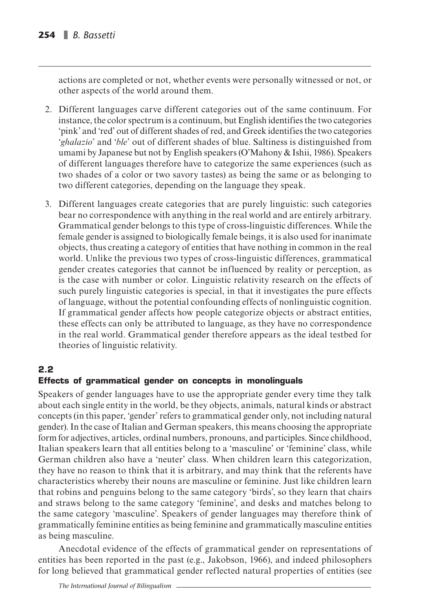actions are completed or not, whether events were personally witnessed or not, or other aspects of the world around them.

- 2. Different languages carve different categories out of the same continuum. For instance, the colorspectrum is a continuum, but English identifiesthe two categories 'pink' and 'red' out of different shades of red, and Greek identifies the two categories '*ghalazio*' and '*ble*' out of different shades of blue. Saltiness is distinguished from umami by Japanese but not by English speakers(O'Mahony & Ishii, 1986). Speakers of different languages therefore have to categorize the same experiences (such as two shades of a color or two savory tastes) as being the same or as belonging to two different categories, depending on the language they speak.
- 3. Different languages create categories that are purely linguistic: such categories bear no correspondence with anything in the real world and are entirely arbitrary. Grammatical gender belongs to this type of cross-linguistic differences. While the female genderis assigned to biologically female beings, it is also used forinanimate objects, thus creating a category of entitiesthat have nothing in common in the real world. Unlike the previous two types of cross-linguistic differences, grammatical gender creates categories that cannot be influenced by reality or perception, as is the case with number or color. Linguistic relativity research on the effects of such purely linguistic categories is special, in that it investigates the pure effects of language, without the potential confounding effects of nonlinguistic cognition. If grammatical gender affects how people categorize objects or abstract entities, these effects can only be attributed to language, as they have no correspondence in the real world. Grammatical gender therefore appears as the ideal testbed for theories of linguistic relativity.

# **2.2**

### **Effects of grammatical gender on concepts in monolinguals**

Speakers of gender languages have to use the appropriate gender every time they talk about each single entity in the world, be they objects, animals, natural kinds or abstract concepts (in this paper, 'gender' refers to grammatical gender only, not including natural gender). In the case of Italian and German speakers, this means choosing the appropriate form for adjectives, articles, ordinal numbers, pronouns, and participles. Since childhood, Italian speakers learn that all entities belong to a 'masculine' or 'feminine' class, while German children also have a 'neuter' class. When children learn this categorization, they have no reason to think that it is arbitrary, and may think that the referents have characteristics whereby their nouns are masculine or feminine. Just like children learn that robins and penguins belong to the same category 'birds', so they learn that chairs and straws belong to the same category 'feminine', and desks and matches belong to the same category 'masculine'. Speakers of gender languages may therefore think of grammatically feminine entities as being feminine and grammatically masculine entities as being masculine.

Anecdotal evidence of the effects of grammatical gender on representations of entities has been reported in the past (e.g., Jakobson, 1966), and indeed philosophers for long believed that grammatical gender reflected natural properties of entities (see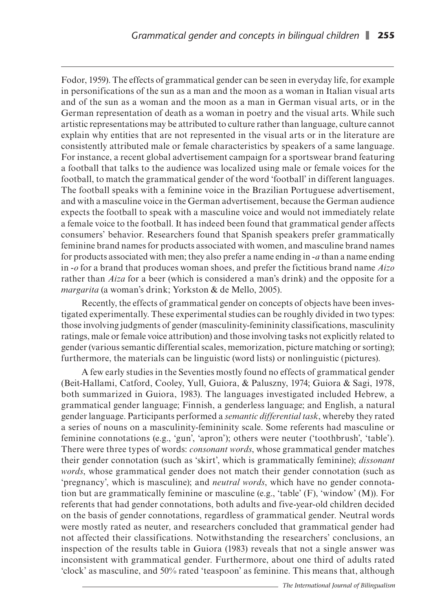Fodor, 1959). The effects of grammatical gender can be seen in everyday life, for example in personifications of the sun as a man and the moon as a woman in Italian visual arts and of the sun as a woman and the moon as a man in German visual arts, or in the German representation of death as a woman in poetry and the visual arts. While such artistic representations may be attributed to culture ratherthan language, culture cannot explain why entities that are not represented in the visual arts or in the literature are consistently attributed male or female characteristics by speakers of a same language. For instance, a recent global advertisement campaign for a sportswear brand featuring a football that talks to the audience was localized using male or female voices for the football, to match the grammatical gender of the word 'football' in different languages. The football speaks with a feminine voice in the Brazilian Portuguese advertisement, and with a masculine voice in the German advertisement, because the German audience expects the football to speak with a masculine voice and would not immediately relate a female voice to the football. It has indeed been found that grammatical gender affects consumers' behavior. Researchers found that Spanish speakers prefer grammatically feminine brand names for products associated with women, and masculine brand names for products associated with men; they also prefer a name ending in *-a* than a name ending in -*o* for a brand that produces woman shoes, and prefer the fictitious brand name *Aizo* rather than *Aiza* for a beer (which is considered a man's drink) and the opposite for a *margarita* (a woman's drink; Yorkston & de Mello, 2005).

Recently, the effects of grammatical gender on concepts of objects have been investigated experimentally. These experimental studies can be roughly divided in two types: those involving judgments of gender(masculinity-femininity classifications, masculinity ratings, male or female voice attribution) and those involving tasks not explicitly related to gender (various semantic differential scales, memorization, picture matching or sorting); furthermore, the materials can be linguistic (word lists) or nonlinguistic (pictures).

A few early studies in the Seventies mostly found no effects of grammatical gender (Beit-Hallami, Catford, Cooley, Yull, Guiora, & Paluszny, 1974; Guiora & Sagi, 1978, both summarized in Guiora, 1983). The languages investigated included Hebrew, a grammatical gender language; Finnish, a genderless language; and English, a natural genderlanguage. Participants performed a *semantic differential task*, whereby they rated a series of nouns on a masculinity-femininity scale. Some referents had masculine or feminine connotations (e.g., 'gun', 'apron'); others were neuter ('toothbrush', 'table'). There were three types of words: *consonant words*, whose grammatical gender matches their gender connotation (such as 'skirt', which is grammatically feminine); *dissonant words*, whose grammatical gender does not match their gender connotation (such as 'pregnancy', which is masculine); and *neutral words*, which have no gender connotation but are grammatically feminine or masculine (e.g., 'table' (F), 'window' (M)). For referents that had gender connotations, both adults and five-year-old children decided on the basis of gender connotations, regardless of grammatical gender. Neutral words were mostly rated as neuter, and researchers concluded that grammatical gender had not affected their classifications. Notwithstanding the researchers' conclusions, an inspection of the results table in Guiora (1983) reveals that not a single answer was inconsistent with grammatical gender. Furthermore, about one third of adults rated 'clock' as masculine, and 50% rated 'teaspoon' as feminine. This means that, although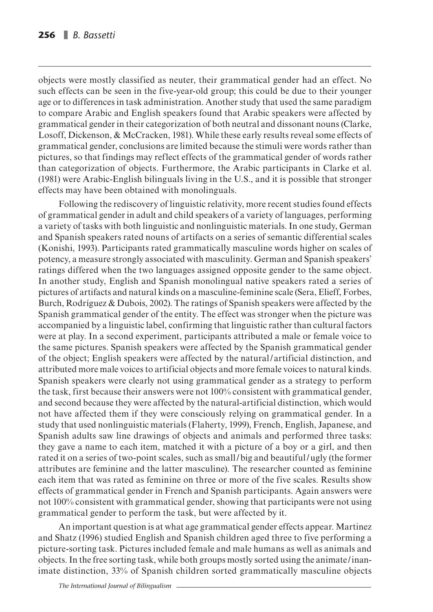objects were mostly classified as neuter, their grammatical gender had an effect. No such effects can be seen in the five-year-old group; this could be due to their younger age or to differences in task administration. Another study that used the same paradigm to compare Arabic and English speakers found that Arabic speakers were affected by grammatical genderin their categorization of both neutral and dissonant nouns(Clarke, Losoff, Dickenson, & McCracken, 1981). While these early results reveal some effects of grammatical gender, conclusions are limited because the stimuli were words rather than pictures, so that findings may reflect effects of the grammatical gender of words rather than categorization of objects. Furthermore, the Arabic participants in Clarke et al. (1981) were Arabic-English bilinguals living in the U.S., and it is possible that stronger effects may have been obtained with monolinguals.

Following the rediscovery of linguistic relativity, more recent studies found effects of grammatical gender in adult and child speakers of a variety of languages, performing a variety of tasks with both linguistic and nonlinguistic materials.In one study, German and Spanish speakers rated nouns of artifacts on a series of semantic differential scales (Konishi, 1993). Participants rated grammatically masculine words higher on scales of potency, a measure strongly associated with masculinity. German and Spanish speakers' ratings differed when the two languages assigned opposite gender to the same object. In another study, English and Spanish monolingual native speakers rated a series of pictures of artifacts and natural kinds on a masculine-feminine scale (Sera, Elieff, Forbes, Burch, Rodríguez & Dubois, 2002). The ratings of Spanish speakers were affected by the Spanish grammatical gender of the entity. The effect was stronger when the picture was accompanied by a linguistic label, confirming that linguistic ratherthan cultural factors were at play. In a second experiment, participants attributed a male or female voice to the same pictures. Spanish speakers were affected by the Spanish grammatical gender of the object; English speakers were affected by the natural/ artificial distinction, and attributed more male voicesto artificial objects and more female voicesto natural kinds. Spanish speakers were clearly not using grammatical gender as a strategy to perform the task, first because their answers were not 100% consistent with grammatical gender, and second because they were affected by the natural-artificial distinction, which would not have affected them if they were consciously relying on grammatical gender. In a study that used nonlinguistic materials (Flaherty, 1999), French, English, Japanese, and Spanish adults saw line drawings of objects and animals and performed three tasks: they gave a name to each item, matched it with a picture of a boy or a girl, and then rated it on a series of two-point scales, such as small/big and beautiful/ugly (the former attributes are feminine and the latter masculine). The researcher counted as feminine each item that was rated as feminine on three or more of the five scales. Results show effects of grammatical gender in French and Spanish participants. Again answers were not 100% consistent with grammatical gender, showing that participants were not using grammatical gender to perform the task, but were affected by it.

An important question is at what age grammatical gender effects appear. Martinez and Shatz (1996) studied English and Spanish children aged three to five performing a picture-sorting task. Pictures included female and male humans as well as animals and objects.In the free sorting task, while both groups mostly sorted using the animate /inanimate distinction, 33% of Spanish children sorted grammatically masculine objects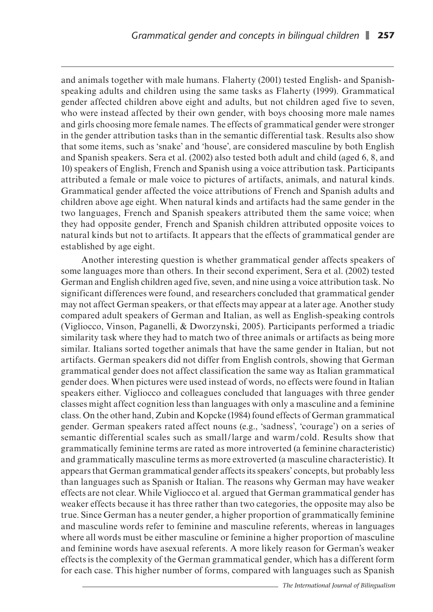and animals together with male humans. Flaherty (2001) tested English- and Spanishspeaking adults and children using the same tasks as Flaherty (1999). Grammatical gender affected children above eight and adults, but not children aged five to seven, who were instead affected by their own gender, with boys choosing more male names and girls choosing more female names. The effects of grammatical gender were stronger in the gender attribution tasks than in the semantic differential task. Results also show that some items, such as 'snake' and 'house', are considered masculine by both English and Spanish speakers. Sera et al. (2002) also tested both adult and child (aged 6, 8, and 10) speakers of English, French and Spanish using a voice attribution task. Participants attributed a female or male voice to pictures of artifacts, animals, and natural kinds. Grammatical gender affected the voice attributions of French and Spanish adults and children above age eight. When natural kinds and artifacts had the same gender in the two languages, French and Spanish speakers attributed them the same voice; when they had opposite gender, French and Spanish children attributed opposite voices to natural kinds but not to artifacts. It appears that the effects of grammatical gender are established by age eight.

Another interesting question is whether grammatical gender affects speakers of some languages more than others. In their second experiment, Sera et al. (2002) tested German and English children aged five, seven, and nine using a voice attribution task. No significant differences were found, and researchers concluded that grammatical gender may not affect German speakers, orthat effects may appear at a later age. Anotherstudy compared adult speakers of German and Italian, as well as English-speaking controls (Vigliocco, Vinson, Paganelli, & Dworzynski, 2005). Participants performed a triadic similarity task where they had to match two of three animals or artifacts as being more similar. Italians sorted together animals that have the same gender in Italian, but not artifacts. German speakers did not differ from English controls, showing that German grammatical gender does not affect classification the same way as Italian grammatical gender does. When pictures were used instead of words, no effects were found in Italian speakers either. Vigliocco and colleagues concluded that languages with three gender classes might affect cognition less than languages with only a masculine and a feminine class. On the other hand, Zubin and Kopcke (1984) found effects of German grammatical gender. German speakers rated affect nouns (e.g., 'sadness', 'courage') on a series of semantic differential scales such as small/large and warm/cold. Results show that grammatically feminine terms are rated as more introverted (a feminine characteristic) and grammatically masculine terms as more extroverted (a masculine characteristic). It appearsthat German grammatical gender affectsitsspeakers' concepts, but probably less than languages such as Spanish or Italian. The reasons why German may have weaker effects are not clear. While Vigliocco et al. argued that German grammatical gender has weaker effects because it has three rather than two categories, the opposite may also be true. Since German has a neuter gender, a higher proportion of grammatically feminine and masculine words refer to feminine and masculine referents, whereas in languages where all words must be either masculine or feminine a higher proportion of masculine and feminine words have asexual referents. A more likely reason for German's weaker effects is the complexity of the German grammatical gender, which has a different form for each case. This higher number of forms, compared with languages such as Spanish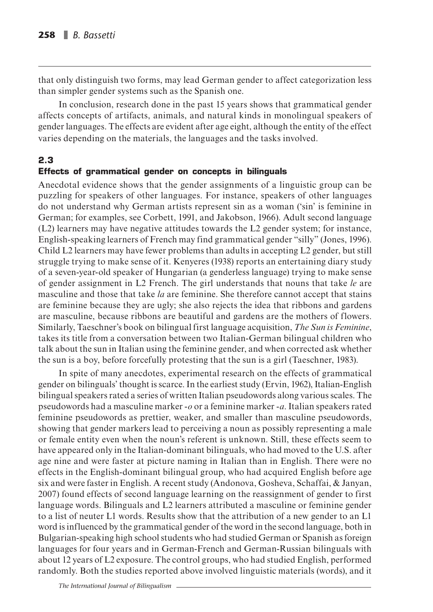that only distinguish two forms, may lead German gender to affect categorization less than simpler gender systems such as the Spanish one.

In conclusion, research done in the past 15 years shows that grammatical gender affects concepts of artifacts, animals, and natural kinds in monolingual speakers of gender languages. The effects are evident after age eight, although the entity of the effect varies depending on the materials, the languages and the tasks involved.

### **2.3**

#### **Effects of grammatical gender on concepts in bilinguals**

Anecdotal evidence shows that the gender assignments of a linguistic group can be puzzling for speakers of other languages. For instance, speakers of other languages do not understand why German artists represent sin as a woman ('sin' is feminine in German; for examples, see Corbett, 1991, and Jakobson, 1966). Adult second language (L2) learners may have negative attitudes towards the L2 gender system; for instance, English-speaking learners of French may find grammatical gender "silly" (Jones, 1996). Child L2 learners may have fewer problems than adults in accepting L2 gender, but still struggle trying to make sense of it. Kenyeres (1938) reports an entertaining diary study of a seven-year-old speaker of Hungarian (a genderless language) trying to make sense of gender assignment in L2 French. The girl understands that nouns that take *le* are masculine and those that take *la* are feminine. She therefore cannot accept that stains are feminine because they are ugly; she also rejects the idea that ribbons and gardens are masculine, because ribbons are beautiful and gardens are the mothers of flowers. Similarly, Taeschner's book on bilingual first language acquisition, *The Sun is Feminine*, takes its title from a conversation between two Italian-German bilingual children who talk about the sun in Italian using the feminine gender, and when corrected ask whether the sun is a boy, before forcefully protesting that the sun is a girl (Taeschner, 1983).

In spite of many anecdotes, experimental research on the effects of grammatical gender on bilinguals' thought is scarce. In the earliest study (Ervin, 1962), Italian-English bilingual speakers rated a series of written Italian pseudowords along various scales. The pseudowords had a masculine marker*-o* or a feminine marker *-a*. Italian speakers rated feminine pseudowords as prettier, weaker, and smaller than masculine pseudowords, showing that gender markers lead to perceiving a noun as possibly representing a male or female entity even when the noun's referent is unknown. Still, these effects seem to have appeared only in the Italian-dominant bilinguals, who had moved to the U.S. after age nine and were faster at picture naming in Italian than in English. There were no effects in the English-dominant bilingual group, who had acquired English before age six and were faster in English. A recent study (Andonova, Gosheva, Schaffai, & Janyan, 2007) found effects of second language learning on the reassignment of gender to first language words. Bilinguals and L2 learners attributed a masculine or feminine gender to a list of neuter L1 words. Results show that the attribution of a new gender to an L1 word isinfluenced by the grammatical gender of the word in the second language, both in Bulgarian-speaking high school students who had studied German or Spanish as foreign languages for four years and in German-French and German-Russian bilinguals with about 12 years of L2 exposure. The control groups, who had studied English, performed randomly. Both the studies reported above involved linguistic materials (words), and it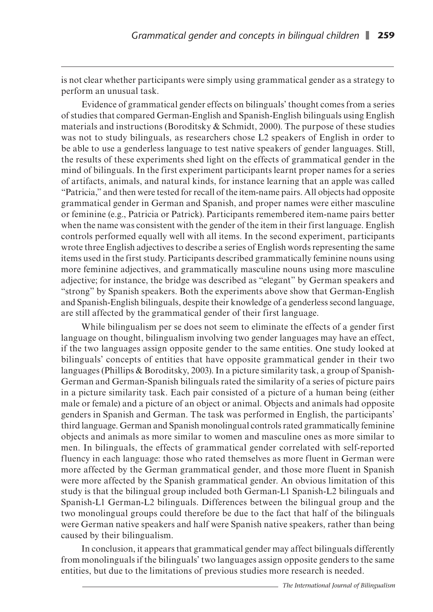is not clear whether participants were simply using grammatical gender as a strategy to perform an unusual task.

Evidence of grammatical gender effects on bilinguals' thought comes from a series ofstudiesthat compared German-English and Spanish-English bilinguals using English materials and instructions (Boroditsky  $&$  Schmidt, 2000). The purpose of these studies was not to study bilinguals, as researchers chose L2 speakers of English in order to be able to use a genderless language to test native speakers of gender languages. Still, the results of these experiments shed light on the effects of grammatical gender in the mind of bilinguals. In the first experiment participants learnt proper names for a series of artifacts, animals, and natural kinds, for instance learning that an apple was called "Patricia," and then were tested for recall of the item-name pairs. All objects had opposite grammatical gender in German and Spanish, and proper names were either masculine or feminine (e.g., Patricia or Patrick). Participants remembered item-name pairs better when the name was consistent with the gender of the item in their first language. English controls performed equally well with all items. In the second experiment, participants wrote three English adjectives to describe a series of English words representing the same items used in the first study. Participants described grammatically feminine nouns using more feminine adjectives, and grammatically masculine nouns using more masculine adjective; for instance, the bridge was described as "elegant" by German speakers and "strong" by Spanish speakers. Both the experiments above show that German-English and Spanish-English bilinguals, despite their knowledge of a genderless second language, are still affected by the grammatical gender of their first language.

While bilingualism per se does not seem to eliminate the effects of a gender first language on thought, bilingualism involving two gender languages may have an effect, if the two languages assign opposite gender to the same entities. One study looked at bilinguals' concepts of entities that have opposite grammatical gender in their two languages (Phillips & Boroditsky, 2003). In a picture similarity task, a group of Spanish-German and German-Spanish bilinguals rated the similarity of a series of picture pairs in a picture similarity task. Each pair consisted of a picture of a human being (either male or female) and a picture of an object or animal. Objects and animals had opposite genders in Spanish and German. The task was performed in English, the participants' third language. German and Spanish monolingual controlsrated grammatically feminine objects and animals as more similar to women and masculine ones as more similar to men. In bilinguals, the effects of grammatical gender correlated with self-reported fluency in each language: those who rated themselves as more fluent in German were more affected by the German grammatical gender, and those more fluent in Spanish were more affected by the Spanish grammatical gender. An obvious limitation of this study is that the bilingual group included both German-L1 Spanish-L2 bilinguals and Spanish-L1 German-L2 bilinguals. Differences between the bilingual group and the two monolingual groups could therefore be due to the fact that half of the bilinguals were German native speakers and half were Spanish native speakers, rather than being caused by their bilingualism.

In conclusion, it appears that grammatical gender may affect bilinguals differently from monolinguals if the bilinguals' two languages assign opposite genders to the same entities, but due to the limitations of previous studies more research is needed.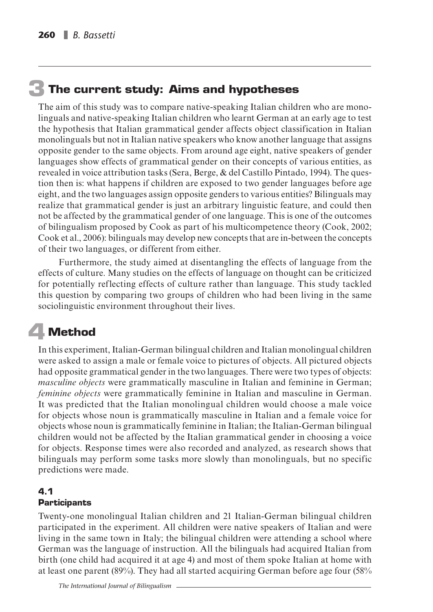### **3The current study: Aims and hypotheses**

The aim of this study was to compare native-speaking Italian children who are monolinguals and native-speaking Italian children who learnt German at an early age to test the hypothesis that Italian grammatical gender affects object classification in Italian monolinguals but not in Italian native speakers who know another language that assigns opposite gender to the same objects. From around age eight, native speakers of gender languages show effects of grammatical gender on their concepts of various entities, as revealed in voice attribution tasks (Sera, Berge, & del Castillo Pintado, 1994). The question then is: what happens if children are exposed to two gender languages before age eight, and the two languages assign opposite genders to various entities? Bilinguals may realize that grammatical gender is just an arbitrary linguistic feature, and could then not be affected by the grammatical gender of one language. This is one of the outcomes of bilingualism proposed by Cook as part of his multicompetence theory (Cook, 2002; Cook et al., 2006): bilinguals may develop new concepts that are in-between the concepts of their two languages, or different from either.

Furthermore, the study aimed at disentangling the effects of language from the effects of culture. Many studies on the effects of language on thought can be criticized for potentially reflecting effects of culture rather than language. This study tackled this question by comparing two groups of children who had been living in the same sociolinguistic environment throughout their lives.

# **4Method**

In this experiment, Italian-German bilingual children and Italian monolingual children were asked to assign a male or female voice to pictures of objects. All pictured objects had opposite grammatical gender in the two languages. There were two types of objects: *masculine objects* were grammatically masculine in Italian and feminine in German; *feminine objects* were grammatically feminine in Italian and masculine in German. It was predicted that the Italian monolingual children would choose a male voice for objects whose noun is grammatically masculine in Italian and a female voice for objects whose noun is grammatically feminine in Italian; the Italian-German bilingual children would not be affected by the Italian grammatical gender in choosing a voice for objects. Response times were also recorded and analyzed, as research shows that bilinguals may perform some tasks more slowly than monolinguals, but no specific predictions were made.

### **4.1 Participants**

Twenty-one monolingual Italian children and 21 Italian-German bilingual children participated in the experiment. All children were native speakers of Italian and were living in the same town in Italy; the bilingual children were attending a school where German was the language of instruction. All the bilinguals had acquired Italian from birth (one child had acquired it at age 4) and most of them spoke Italian at home with at least one parent (89%). They had all started acquiring German before age four (58%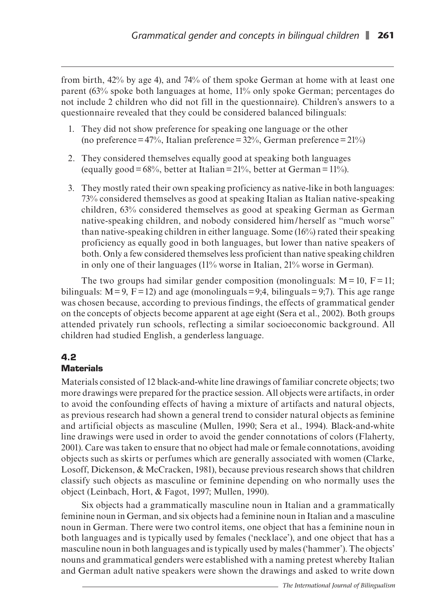from birth, 42% by age 4), and 74% of them spoke German at home with at least one parent (63% spoke both languages at home, 11% only spoke German; percentages do not include 2 children who did not fill in the questionnaire). Children's answers to a questionnaire revealed that they could be considered balanced bilinguals:

- 1. They did not show preference for speaking one language or the other (no preference= $47\%$ , Italian preference= $32\%$ , German preference= $21\%$ )
- 2. They considered themselves equally good at speaking both languages (equally good =  $68\%$ , better at Italian =  $21\%$ , better at German =  $11\%$ ).
- 3. They mostly rated their own speaking proficiency as native-like in both languages: 73% considered themselves as good at speaking Italian as Italian native-speaking children, 63% considered themselves as good at speaking German as German native-speaking children, and nobody considered him/herself as "much worse" than native-speaking children in either language. Some (16%) rated their speaking proficiency as equally good in both languages, but lower than native speakers of both. Only a few considered themselves less proficient than native speaking children in only one of their languages (11% worse in Italian, 21% worse in German).

The two groups had similar gender composition (monolinguals:  $M = 10$ ,  $F = 11$ ; bilinguals:  $M=9$ ,  $F=12$ ) and age (monolinguals = 9;4, bilinguals = 9;7). This age range was chosen because, according to previous findings, the effects of grammatical gender on the concepts of objects become apparent at age eight (Sera et al., 2002). Both groups attended privately run schools, reflecting a similar socioeconomic background. All children had studied English, a genderless language.

### **4.2**

### **Materials**

Materials consisted of 12 black-and-white line drawings of familiar concrete objects; two more drawings were prepared forthe practice session. All objects were artifacts, in order to avoid the confounding effects of having a mixture of artifacts and natural objects, as previous research had shown a general trend to consider natural objects as feminine and artificial objects as masculine (Mullen, 1990; Sera et al., 1994). Black-and-white line drawings were used in order to avoid the gender connotations of colors (Flaherty, 2001). Care wastaken to ensure that no object had male orfemale connotations, avoiding objects such as skirts or perfumes which are generally associated with women (Clarke, Losoff, Dickenson, & McCracken, 1981), because previous research shows that children classify such objects as masculine or feminine depending on who normally uses the object (Leinbach, Hort, & Fagot, 1997; Mullen, 1990).

Six objects had a grammatically masculine noun in Italian and a grammatically feminine noun in German, and six objects had a feminine noun in Italian and a masculine noun in German. There were two control items, one object that has a feminine noun in both languages and is typically used by females ('necklace'), and one object that has a masculine noun in both languages and istypically used by males('hammer'). The objects' nouns and grammatical genders were established with a naming pretest whereby Italian and German adult native speakers were shown the drawings and asked to write down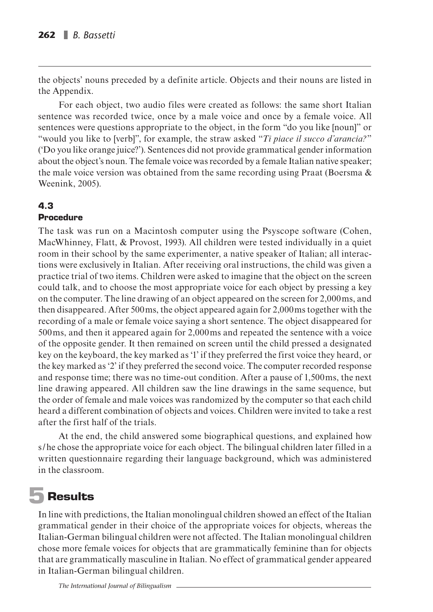the objects' nouns preceded by a definite article. Objects and their nouns are listed in the Appendix.

For each object, two audio files were created as follows: the same short Italian sentence was recorded twice, once by a male voice and once by a female voice. All sentences were questions appropriate to the object, in the form "do you like [noun]" or "would you like to [verb]", for example, the straw asked "*Ti piace il succo d'arancia?*" ('Do you like orange juice?'). Sentences did not provide grammatical genderinformation about the object's noun. The female voice wasrecorded by a female Italian native speaker; the male voice version was obtained from the same recording using Praat (Boersma & Weenink, 2005).

### **4.3**

### **Procedure**

The task was run on a Macintosh computer using the Psyscope software (Cohen, MacWhinney, Flatt, & Provost, 1993). All children were tested individually in a quiet room in their school by the same experimenter, a native speaker of Italian; all interactions were exclusively in Italian. After receiving oral instructions, the child was given a practice trial of two items. Children were asked to imagine that the object on the screen could talk, and to choose the most appropriate voice for each object by pressing a key on the computer. The line drawing of an object appeared on the screen for 2,000ms, and then disappeared. After 500ms, the object appeared again for 2,000mstogether with the recording of a male or female voice saying a short sentence. The object disappeared for 500ms, and then it appeared again for 2,000ms and repeated the sentence with a voice of the opposite gender. It then remained on screen until the child pressed a designated key on the keyboard, the key marked as '1' if they preferred the first voice they heard, or the key marked as '2' if they preferred the second voice. The computer recorded response and response time; there was no time-out condition. After a pause of 1,500ms, the next line drawing appeared. All children saw the line drawings in the same sequence, but the order of female and male voices was randomized by the computer so that each child heard a different combination of objects and voices. Children were invited to take a rest after the first half of the trials.

At the end, the child answered some biographical questions, and explained how s/he chose the appropriate voice for each object. The bilingual children later filled in a written questionnaire regarding their language background, which was administered in the classroom.

# **5Results**

In line with predictions, the Italian monolingual children showed an effect of the Italian grammatical gender in their choice of the appropriate voices for objects, whereas the Italian-German bilingual children were not affected. The Italian monolingual children chose more female voices for objects that are grammatically feminine than for objects that are grammatically masculine in Italian. No effect of grammatical gender appeared in Italian-German bilingual children.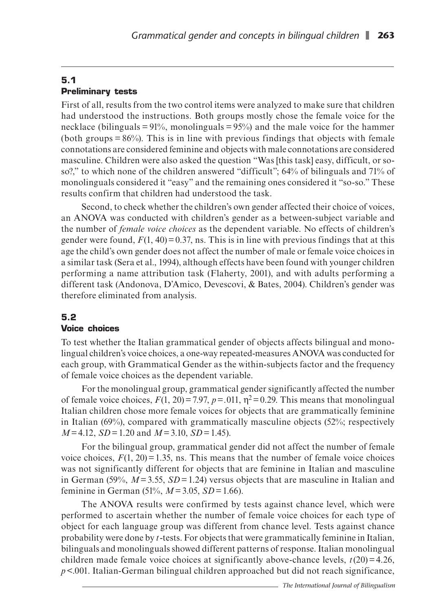#### **5.1 Preliminary tests**

First of all, results from the two control items were analyzed to make sure that children had understood the instructions. Both groups mostly chose the female voice for the necklace (bilinguals  $= 91\%$ , monolinguals  $= 95\%$ ) and the male voice for the hammer (both groups = 86%). This is in line with previous findings that objects with female connotations are considered feminine and objects with male connotations are considered masculine. Children were also asked the question "Was [this task] easy, difficult, or soso?," to which none of the children answered "difficult"; 64% of bilinguals and 71% of monolinguals considered it "easy" and the remaining ones considered it "so-so." These results confirm that children had understood the task.

Second, to check whether the children's own gender affected their choice of voices, an ANOVA was conducted with children's gender as a between-subject variable and the number of *female voice choices* as the dependent variable. No effects of children's gender were found,  $F(1, 40) = 0.37$ , ns. This is in line with previous findings that at this age the child's own gender does not affect the number of male or female voice choices in a similar task (Sera et al., 1994), although effects have been found with younger children performing a name attribution task (Flaherty, 2001), and with adults performing a different task (Andonova, D'Amico, Devescovi, & Bates, 2004). Children's gender was therefore eliminated from analysis.

### **5.2**

#### **Voice choices**

To test whether the Italian grammatical gender of objects affects bilingual and monolingual children's voice choices, a one-way repeated-measures ANOVA was conducted for each group, with Grammatical Gender as the within-subjects factor and the frequency of female voice choices as the dependent variable.

For the monolingual group, grammatical gender significantly affected the number of female voice choices,  $F(1, 20) = 7.97$ ,  $p = .011$ ,  $\eta^2 = 0.29$ . This means that monolingual Italian children chose more female voices for objects that are grammatically feminine in Italian (69%), compared with grammatically masculine objects (52%; respectively *M*=4.12, *SD*=1.20 and *M*=3.10, *SD*=1.45).

For the bilingual group, grammatical gender did not affect the number of female voice choices,  $F(1, 20) = 1.35$ , ns. This means that the number of female voice choices was not significantly different for objects that are feminine in Italian and masculine in German (59%,  $M=3.55$ ,  $SD=1.24$ ) versus objects that are masculine in Italian and feminine in German (51%, *M*=3.05, *SD*=1.66).

The ANOVA results were confirmed by tests against chance level, which were performed to ascertain whether the number of female voice choices for each type of object for each language group was different from chance level. Tests against chance probability were done by *t*-tests. For objectsthat were grammatically feminine in Italian, bilinguals and monolinguals showed different patterns of response. Italian monolingual children made female voice choices at significantly above-chance levels,  $t(20)=4.26$ , *p*<.001. Italian-German bilingual children approached but did not reach significance,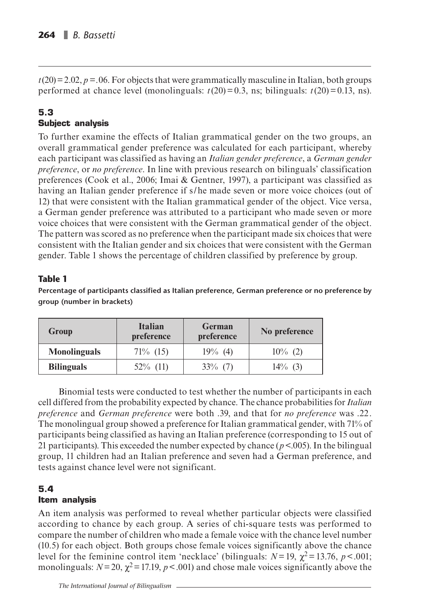$t(20)=2.02$ ,  $p=0.06$ . For objects that were grammatically masculine in Italian, both groups performed at chance level (monolinguals:  $t(20) = 0.3$ , ns; bilinguals:  $t(20) = 0.13$ , ns).

### **5.3 Subject analysis**

To further examine the effects of Italian grammatical gender on the two groups, an overall grammatical gender preference was calculated for each participant, whereby each participant was classified as having an *Italian gender preference*, a *German gender preference*, or *no preference*. In line with previous research on bilinguals' classification preferences (Cook et al., 2006; Imai & Gentner, 1997), a participant was classified as having an Italian gender preference if s/he made seven or more voice choices (out of 12) that were consistent with the Italian grammatical gender of the object. Vice versa, a German gender preference was attributed to a participant who made seven or more voice choices that were consistent with the German grammatical gender of the object. The pattern wasscored as no preference when the participant made six choicesthat were consistent with the Italian gender and six choices that were consistent with the German gender. Table 1 shows the percentage of children classified by preference by group.

### **Table 1**

**Percentage of participants classified as Italian preference, German preference or no preference by group (number in brackets)**

| Group               | Italian<br>preference | German<br>preference | No preference |
|---------------------|-----------------------|----------------------|---------------|
| <b>Monolinguals</b> | $71\%$ (15)           | $19\%$ (4)           | $10\%$ (2)    |
| <b>Bilinguals</b>   | $52\%$ (11)           | $33\%$ (7)           | $14\%$ (3)    |

Binomial tests were conducted to test whether the number of participants in each cell differed from the probability expected by chance. The chance probabilitiesfor*Italian preference* and *German preference* were both .39, and that for *no preference* was .22. The monolingual group showed a preference for Italian grammatical gender, with 71% of participants being classified as having an Italian preference (corresponding to 15 out of 21 participants). This exceeded the number expected by chance ( $p < .005$ ). In the bilingual group, 11 children had an Italian preference and seven had a German preference, and tests against chance level were not significant.

### **5.4**

### **Item analysis**

An item analysis was performed to reveal whether particular objects were classified according to chance by each group. A series of chi-square tests was performed to compare the number of children who made a female voice with the chance level number (10.5) for each object. Both groups chose female voices significantly above the chance level for the feminine control item 'necklace' (bilinguals:  $N=19$ ,  $\chi^2=13.76$ ,  $p<.001$ ; monolinguals:  $N = 20$ ,  $\chi^2 = 17.19$ ,  $p < .001$ ) and chose male voices significantly above the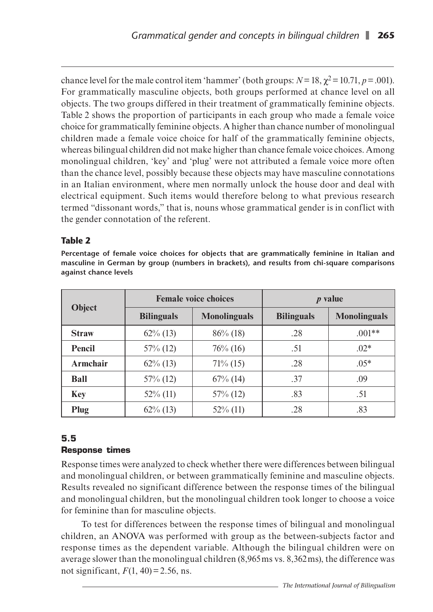chance level for the male control item 'hammer' (both groups:  $N = 18$ ,  $\gamma^2 = 10.71$ ,  $p = .001$ ). For grammatically masculine objects, both groups performed at chance level on all objects. The two groups differed in their treatment of grammatically feminine objects. Table 2 shows the proportion of participants in each group who made a female voice choice for grammatically feminine objects. A higher than chance number of monolingual children made a female voice choice for half of the grammatically feminine objects, whereas bilingual children did not make higher than chance female voice choices. Among monolingual children, 'key' and 'plug' were not attributed a female voice more often than the chance level, possibly because these objects may have masculine connotations in an Italian environment, where men normally unlock the house door and deal with electrical equipment. Such items would therefore belong to what previous research termed "dissonant words," that is, nouns whose grammatical gender is in conflict with the gender connotation of the referent.

### **Table 2**

**Percentage of female voice choices for objects that are grammatically feminine in Italian and masculine in German by group (numbers in brackets), and results from chi-square comparisons against chance levels**

| <b>Object</b> | <b>Female voice choices</b> |                     | $p$ value         |                     |
|---------------|-----------------------------|---------------------|-------------------|---------------------|
|               | <b>Bilinguals</b>           | <b>Monolinguals</b> | <b>Bilinguals</b> | <b>Monolinguals</b> |
| <b>Straw</b>  | $62\%$ (13)                 | $86\%$ (18)         | .28               | $.001**$            |
| <b>Pencil</b> | $57\%$ (12)                 | $76\%$ (16)         | .51               | $.02*$              |
| Armchair      | $62\%$ (13)                 | $71\%$ (15)         | .28               | $.05*$              |
| Ball          | $57\%$ (12)                 | $67\%$ (14)         | .37               | .09                 |
| <b>Key</b>    | $52\%$ (11)                 | $57\%$ (12)         | .83               | .51                 |
| Plug          | $62\%$ (13)                 | $52\%$ (11)         | .28               | .83                 |

# **5.5**

### **Response times**

Response times were analyzed to check whether there were differences between bilingual and monolingual children, or between grammatically feminine and masculine objects. Results revealed no significant difference between the response times of the bilingual and monolingual children, but the monolingual children took longer to choose a voice for feminine than for masculine objects.

To test for differences between the response times of bilingual and monolingual children, an ANOVA was performed with group as the between-subjects factor and response times as the dependent variable. Although the bilingual children were on average slower than the monolingual children (8,965ms vs. 8,362ms), the difference was not significant,  $F(1, 40) = 2.56$ , ns.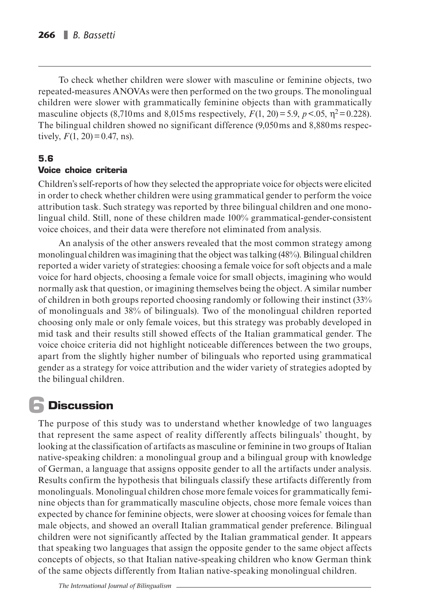To check whether children were slower with masculine or feminine objects, two repeated-measures ANOVAs were then performed on the two groups. The monolingual children were slower with grammatically feminine objects than with grammatically masculine objects (8,710ms and 8,015ms respectively,  $F(1, 20) = 5.9$ ,  $p < 0.05$ ,  $\eta^2 = 0.228$ ). The bilingual children showed no significant difference (9,050ms and 8,880ms respectively,  $F(1, 20) = 0.47$ , ns).

### **5.6 Voice choice criteria**

Children'sself-reports of how they selected the appropriate voice for objects were elicited in order to check whether children were using grammatical gender to perform the voice attribution task. Such strategy was reported by three bilingual children and one monolingual child. Still, none of these children made 100% grammatical-gender-consistent voice choices, and their data were therefore not eliminated from analysis.

An analysis of the other answers revealed that the most common strategy among monolingual children wasimagining that the object wastalking (48%). Bilingual children reported a wider variety of strategies: choosing a female voice for soft objects and a male voice for hard objects, choosing a female voice for small objects, imagining who would normally ask that question, or imagining themselves being the object. A similar number of children in both groups reported choosing randomly or following their instinct (33% of monolinguals and 38% of bilinguals). Two of the monolingual children reported choosing only male or only female voices, but this strategy was probably developed in mid task and their results still showed effects of the Italian grammatical gender. The voice choice criteria did not highlight noticeable differences between the two groups, apart from the slightly higher number of bilinguals who reported using grammatical gender as a strategy for voice attribution and the wider variety of strategies adopted by the bilingual children.

# **6 Discussion**

The purpose of this study was to understand whether knowledge of two languages that represent the same aspect of reality differently affects bilinguals' thought, by looking at the classification of artifacts as masculine or feminine in two groups of Italian native-speaking children: a monolingual group and a bilingual group with knowledge of German, a language that assigns opposite gender to all the artifacts under analysis. Results confirm the hypothesis that bilinguals classify these artifacts differently from monolinguals. Monolingual children chose more female voices for grammatically feminine objects than for grammatically masculine objects, chose more female voices than expected by chance for feminine objects, were slower at choosing voices for female than male objects, and showed an overall Italian grammatical gender preference. Bilingual children were not significantly affected by the Italian grammatical gender. It appears that speaking two languages that assign the opposite gender to the same object affects concepts of objects, so that Italian native-speaking children who know German think of the same objects differently from Italian native-speaking monolingual children.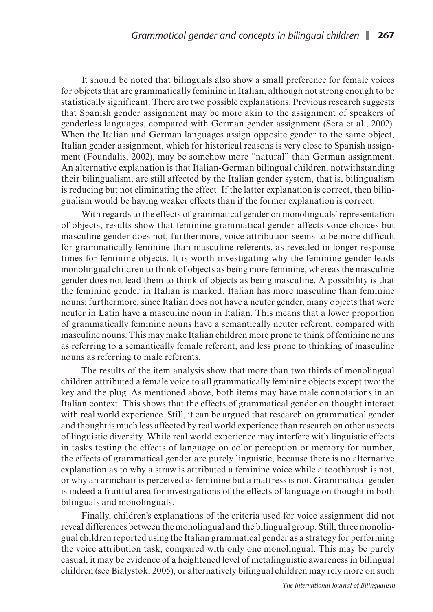It should be noted that bilinguals also show a small preference for female voices for objects that are grammatically feminine in Italian, although not strong enough to be statistically significant. There are two possible explanations. Previous research suggests that Spanish gender assignment may be more akin to the assignment of speakers of genderless languages, compared with German gender assignment (Sera et al., 2002). When the Italian and German languages assign opposite gender to the same object, Italian gender assignment, which for historical reasons is very close to Spanish assignment (Foundalis, 2002), may be somehow more "natural" than German assignment. An alternative explanation is that Italian-German bilingual children, notwithstanding their bilingualism, are still affected by the Italian gender system, that is, bilingualism is reducing but not eliminating the effect. If the latter explanation is correct, then bilingualism would be having weaker effects than if the former explanation is correct.

With regards to the effects of grammatical gender on monolinguals' representation of objects, results show that feminine grammatical gender affects voice choices but masculine gender does not; furthermore, voice attribution seems to be more difficult for grammatically feminine than masculine referents, as revealed in longer response times for feminine objects. It is worth investigating why the feminine gender leads monolingual children to think of objects as being more feminine, whereasthe masculine gender does not lead them to think of objects as being masculine. A possibility is that the feminine gender in Italian is marked. Italian has more masculine than feminine nouns; furthermore, since Italian does not have a neuter gender, many objects that were neuter in Latin have a masculine noun in Italian. This means that a lower proportion of grammatically feminine nouns have a semantically neuter referent, compared with masculine nouns. This may make Italian children more prone to think of feminine nouns as referring to a semantically female referent, and less prone to thinking of masculine nouns as referring to male referents.

The results of the item analysis show that more than two thirds of monolingual children attributed a female voice to all grammatically feminine objects except two: the key and the plug. As mentioned above, both items may have male connotations in an Italian context. This shows that the effects of grammatical gender on thought interact with real world experience. Still, it can be argued that research on grammatical gender and thought is much less affected by real world experience than research on other aspects of linguistic diversity. While real world experience may interfere with linguistic effects in tasks testing the effects of language on color perception or memory for number, the effects of grammatical gender are purely linguistic, because there is no alternative explanation as to why a straw is attributed a feminine voice while a toothbrush is not, or why an armchair is perceived as feminine but a mattress is not. Grammatical gender is indeed a fruitful area for investigations of the effects of language on thought in both bilinguals and monolinguals.

Finally, children's explanations of the criteria used for voice assignment did not reveal differences between the monolingual and the bilingual group. Still, three monolingual children reported using the Italian grammatical gender as a strategy for performing the voice attribution task, compared with only one monolingual. This may be purely casual, it may be evidence of a heightened level of metalinguistic awareness in bilingual children (see Bialystok, 2005), or alternatively bilingual children may rely more on such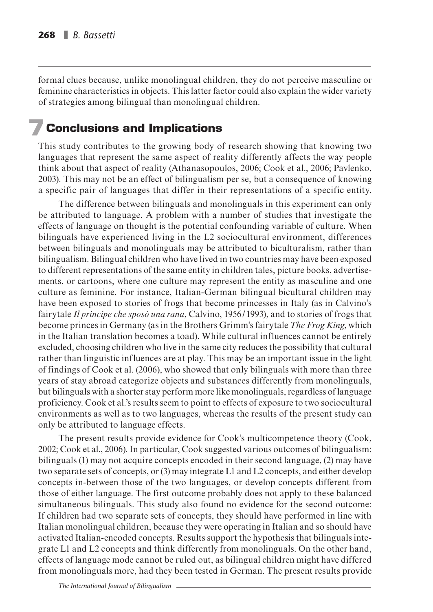formal clues because, unlike monolingual children, they do not perceive masculine or feminine characteristicsin objects. Thislatterfactor could also explain the wider variety of strategies among bilingual than monolingual children.

### **7Conclusions and Implications**

This study contributes to the growing body of research showing that knowing two languages that represent the same aspect of reality differently affects the way people think about that aspect of reality (Athanasopoulos, 2006; Cook et al., 2006; Pavlenko, 2003). This may not be an effect of bilingualism per se, but a consequence of knowing a specific pair of languages that differ in their representations of a specific entity.

The difference between bilinguals and monolinguals in this experiment can only be attributed to language. A problem with a number of studies that investigate the effects of language on thought is the potential confounding variable of culture. When bilinguals have experienced living in the L2 sociocultural environment, differences between bilinguals and monolinguals may be attributed to biculturalism, rather than bilingualism. Bilingual children who have lived in two countries may have been exposed to different representations of the same entity in children tales, picture books, advertisements, or cartoons, where one culture may represent the entity as masculine and one culture as feminine. For instance, Italian-German bilingual bicultural children may have been exposed to stories of frogs that become princesses in Italy (as in Calvino's fairytale *Il principe che sposò una rana*, Calvino, 1956/ 1993), and to stories of frogs that become princes in Germany (as in the Brothers Grimm's fairytale *The Frog King*, which in the Italian translation becomes a toad). While cultural influences cannot be entirely excluded, choosing children who live in the same city reduces the possibility that cultural rather than linguistic influences are at play. This may be an important issue in the light of findings of Cook et al. (2006), who showed that only bilinguals with more than three years of stay abroad categorize objects and substances differently from monolinguals, but bilinguals with a shorter stay perform more like monolinguals, regardless of language proficiency. Cook et al.'s results seem to point to effects of exposure to two sociocultural environments as well as to two languages, whereas the results of the present study can only be attributed to language effects.

The present results provide evidence for Cook's multicompetence theory (Cook, 2002; Cook et al., 2006).In particular, Cook suggested various outcomes of bilingualism: bilinguals (1) may not acquire concepts encoded in their second language, (2) may have two separate sets of concepts, or (3) may integrate L1 and L2 concepts, and either develop concepts in-between those of the two languages, or develop concepts different from those of either language. The first outcome probably does not apply to these balanced simultaneous bilinguals. This study also found no evidence for the second outcome: If children had two separate sets of concepts, they should have performed in line with Italian monolingual children, because they were operating in Italian and so should have activated Italian-encoded concepts. Results support the hypothesis that bilinguals integrate L1 and L2 concepts and think differently from monolinguals. On the other hand, effects of language mode cannot be ruled out, as bilingual children might have differed from monolinguals more, had they been tested in German. The present results provide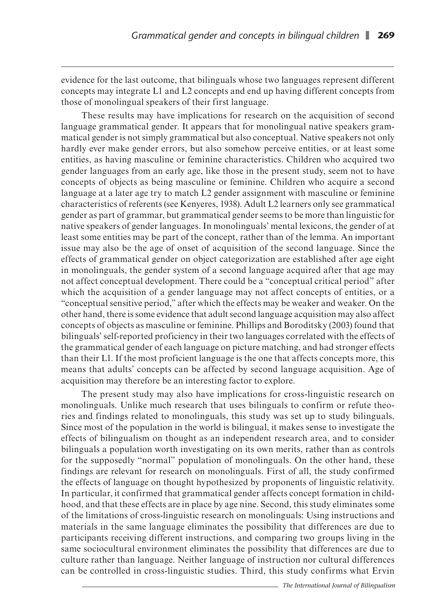evidence for the last outcome, that bilinguals whose two languages represent different concepts may integrate L1 and L2 concepts and end up having different concepts from those of monolingual speakers of their first language.

These results may have implications for research on the acquisition of second language grammatical gender. It appears that for monolingual native speakers grammatical gender is not simply grammatical but also conceptual. Native speakers not only hardly ever make gender errors, but also somehow perceive entities, or at least some entities, as having masculine or feminine characteristics. Children who acquired two gender languages from an early age, like those in the present study, seem not to have concepts of objects as being masculine or feminine. Children who acquire a second language at a later age try to match L2 gender assignment with masculine or feminine characteristics of referents (see Kenyeres, 1938). Adult L2 learners only see grammatical gender as part of grammar, but grammatical genderseemsto be more than linguistic for native speakers of gender languages. In monolinguals' mental lexicons, the gender of at least some entities may be part of the concept, rather than of the lemma. An important issue may also be the age of onset of acquisition of the second language. Since the effects of grammatical gender on object categorization are established after age eight in monolinguals, the gender system of a second language acquired after that age may not affect conceptual development. There could be a "conceptual critical period" after which the acquisition of a gender language may not affect concepts of entities, or a "conceptual sensitive period," after which the effects may be weaker and weaker. On the other hand, there is some evidence that adult second language acquisition may also affect concepts of objects as masculine or feminine. Phillips and Boroditsky (2003) found that bilinguals' self-reported proficiency in their two languages correlated with the effects of the grammatical gender of each language on picture matching, and had stronger effects than their L1. If the most proficient language is the one that affects concepts more, this means that adults' concepts can be affected by second language acquisition. Age of acquisition may therefore be an interesting factor to explore.

The present study may also have implications for cross-linguistic research on monolinguals. Unlike much research that uses bilinguals to confirm or refute theories and findings related to monolinguals, this study was set up to study bilinguals. Since most of the population in the world is bilingual, it makes sense to investigate the effects of bilingualism on thought as an independent research area, and to consider bilinguals a population worth investigating on its own merits, rather than as controls for the supposedly "normal" population of monolinguals. On the other hand, these findings are relevant for research on monolinguals. First of all, the study confirmed the effects of language on thought hypothesized by proponents of linguistic relativity. In particular, it confirmed that grammatical gender affects concept formation in childhood, and that these effects are in place by age nine. Second, this study eliminates some of the limitations of cross-linguistic research on monolinguals: Using instructions and materials in the same language eliminates the possibility that differences are due to participants receiving different instructions, and comparing two groups living in the same sociocultural environment eliminates the possibility that differences are due to culture rather than language. Neither language of instruction nor cultural differences can be controlled in cross-linguistic studies. Third, this study confirms what Ervin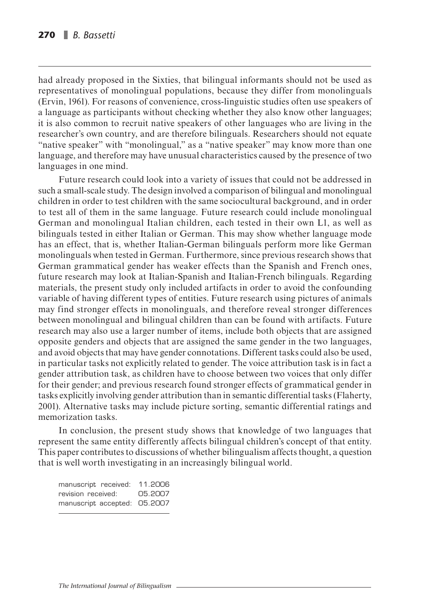had already proposed in the Sixties, that bilingual informants should not be used as representatives of monolingual populations, because they differ from monolinguals (Ervin, 1961). For reasons of convenience, cross-linguistic studies often use speakers of a language as participants without checking whether they also know other languages; it is also common to recruit native speakers of other languages who are living in the researcher's own country, and are therefore bilinguals. Researchers should not equate "native speaker" with "monolingual," as a "native speaker" may know more than one language, and therefore may have unusual characteristics caused by the presence of two languages in one mind.

Future research could look into a variety of issues that could not be addressed in such a small-scale study. The design involved a comparison of bilingual and monolingual children in order to test children with the same sociocultural background, and in order to test all of them in the same language. Future research could include monolingual German and monolingual Italian children, each tested in their own L1, as well as bilinguals tested in either Italian or German. This may show whether language mode has an effect, that is, whether Italian-German bilinguals perform more like German monolinguals when tested in German. Furthermore, since previous research shows that German grammatical gender has weaker effects than the Spanish and French ones, future research may look at Italian-Spanish and Italian-French bilinguals. Regarding materials, the present study only included artifacts in order to avoid the confounding variable of having different types of entities. Future research using pictures of animals may find stronger effects in monolinguals, and therefore reveal stronger differences between monolingual and bilingual children than can be found with artifacts. Future research may also use a larger number of items, include both objects that are assigned opposite genders and objects that are assigned the same gender in the two languages, and avoid objects that may have gender connotations. Different tasks could also be used, in particular tasks not explicitly related to gender. The voice attribution task is in fact a gender attribution task, as children have to choose between two voices that only differ for their gender; and previous research found stronger effects of grammatical gender in tasks explicitly involving gender attribution than in semantic differential tasks(Flaherty, 2001). Alternative tasks may include picture sorting, semantic differential ratings and memorization tasks.

In conclusion, the present study shows that knowledge of two languages that represent the same entity differently affects bilingual children's concept of that entity. This paper contributes to discussions of whether bilingualism affects thought, a question that is well worth investigating in an increasingly bilingual world.

manuscript received: 11.2006 revision received: 05.2007 manuscript accepted: 05.2007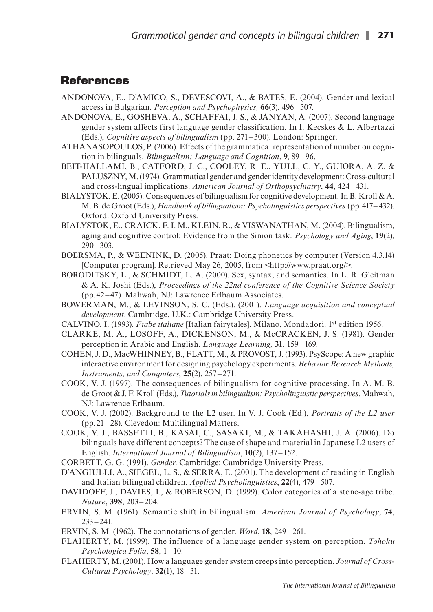### **References**

- ANDONOVA, E., D'AMICO, S., DEVESCOVI, A., & BATES, E. (2004). Gender and lexical access in Bulgarian. *Perception and Psychophysics,* **66**(3), 496 –507.
- ANDONOVA, E., GOSHEVA, A., SCHAFFAI, J. S., & JANYAN, A. (2007). Second language gender system affects first language gender classification. In I. Kecskes & L. Albertazzi (Eds.), *Cognitive aspects of bilingualism* (pp. 271–300). London: Springer.
- ATHANASOPOULOS, P. (2006). Effects of the grammatical representation of number on cognition in bilinguals. *Bilingualism: Language and Cognition*, **9**, 89–96.
- BEIT-HALLAMI, B., CATFORD, J. C., COOLEY, R. E., YULL, C. Y., GUIORA, A. Z. & PALUSZNY,M.(1974). Grammatical gender and genderidentity development: Cross-cultural and cross-lingual implications. *American Journal of Orthopsychiatry*, **44**, 424 – 431.
- BIALYSTOK, E. (2005). Consequences of bilingualism for cognitive development. In B. Kroll & A. M. B. de Groot (Eds.), *Handbook of bilingualism: Psycholinguistics perspectives* (pp.417– 432). Oxford: Oxford University Press.
- BIALYSTOK, E., CRAICK, F. I. M., KLEIN, R., & VISWANATHAN, M. (2004). Bilingualism, aging and cognitive control: Evidence from the Simon task. *Psychology and Aging*, **19**(2),  $290 - 303$
- BOERSMA, P., & WEENINK, D. (2005). Praat: Doing phonetics by computer (Version 4.3.14) [Computer program]. Retrieved May 26, 2005, from <http://www.praat.org/>.
- BORODITSKY, L., & SCHMIDT, L. A. (2000). Sex, syntax, and semantics. In L. R. Gleitman & A. K. Joshi (Eds.), *Proceedings of the 22nd conference of the Cognitive Science Society* (pp.42– 47). Mahwah, NJ: Lawrence Erlbaum Associates.
- BOWERMAN, M., & LEVINSON, S. C. (Eds.). (2001). *Language acquisition and conceptual development*. Cambridge, U.K.: Cambridge University Press.
- CALVINO, I. (1993). *Fiabe italiane* [Italian fairytales]. Milano, Mondadori. 1st edition 1956.
- CLARKE, M. A., LOSOFF, A., DICKENSON, M., & McCRACKEN, J. S. (1981). Gender perception in Arabic and English. *Language Learning,* **31**, 159– 169.
- COHEN, J. D., MacWHINNEY, B., FLATT, M., & PROVOST, J. (1993). PsyScope: A new graphic interactive environment for designing psychology experiments. *Behavior Research Methods, Instruments, and Computers*, **25**(2), 257–271.
- COOK, V. J. (1997). The consequences of bilingualism for cognitive processing. In A. M. B. de Groot & J. F. Kroll (Eds.), *Tutorialsin bilingualism: Psycholinguistic perspectives*. Mahwah, NJ: Lawrence Erlbaum.
- COOK, V. J. (2002). Background to the L2 user. In V. J. Cook (Ed.), *Portraits of the L2 user* (pp.21–28). Clevedon: Multilingual Matters.
- COOK, V. J., BASSETTI, B., KASAI, C., SASAKI, M., & TAKAHASHI, J. A. (2006). Do bilinguals have different concepts? The case of shape and material in Japanese L2 users of English. *International Journal of Bilingualism*, **10**(2), 137 –152.
- CORBETT, G. G. (1991). *Gender*. Cambridge: Cambridge University Press.
- D'ANGIULLI, A., SIEGEL, L. S., & SERRA, E. (2001). The development of reading in English and Italian bilingual children. *Applied Psycholinguistics*, **22**(4), 479 –507.
- DAVIDOFF, J., DAVIES, I., & ROBERSON, D. (1999). Color categories of a stone-age tribe. *Nature*, **398**, 203–204.
- ERVIN, S. M. (1961). Semantic shift in bilingualism. *American Journal of Psychology*, **74**, 233 –241.
- ERVIN, S. M. (1962). The connotations of gender. *Word*, **18**, 249– 261.
- FLAHERTY, M. (1999). The influence of a language gender system on perception. *Tohoku Psychologica Folia*, **58**, 1 –10.
- FLAHERTY, M. (2001). How a language gender system creeps into perception. *Journal of Cross-Cultural Psychology*, **32**(1), 18 –31.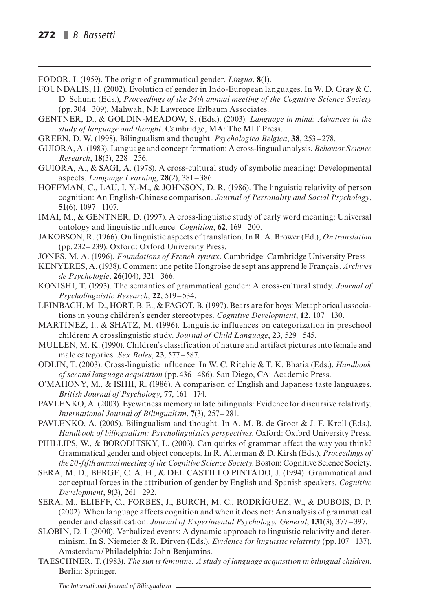FODOR, I. (1959). The origin of grammatical gender. *Lingua*, **8**(1).

FOUNDALIS, H. (2002). Evolution of gender in Indo-European languages. In W. D. Gray & C. D. Schunn (Eds.), *Proceedings of the 24th annual meeting of the Cognitive Science Society* (pp.304– 309). Mahwah, NJ: Lawrence Erlbaum Associates.

- GENTNER, D., & GOLDIN-MEADOW, S. (Eds.). (2003). *Language in mind: Advances in the study of language and thought*. Cambridge, MA: The MIT Press.
- GREEN, D. W. (1998). Bilingualism and thought. *Psychologica Belgica*, **38**, 253 278.
- GUIORA, A. (1983). Language and concept formation: A cross-lingual analysis. *Behavior Science Research*, **18**(3), 228–256.
- GUIORA, A., & SAGI, A. (1978). A cross-cultural study of symbolic meaning: Developmental aspects. *Language Learning*, **28**(2), 381 –386.
- HOFFMAN, C., LAU, I. Y.-M., & JOHNSON, D. R. (1986). The linguistic relativity of person cognition: An English-Chinese comparison. *Journal of Personality and Social Psychology*, **51**(6), 1097–1107.
- IMAI, M., & GENTNER, D. (1997). A cross-linguistic study of early word meaning: Universal ontology and linguistic influence. *Cognition*, **62**, 169– 200.
- JAKOBSON, R. (1966). On linguistic aspects of translation. In R. A. Brower (Ed.), *On translation* (pp.232–239). Oxford: Oxford University Press.
- JONES, M. A. (1996). *Foundations of French syntax*. Cambridge: Cambridge University Press.
- KENYERES, A. (1938). Comment une petite Hongroise de sept ans apprend le Français. *Archives de Psychologie*, **26**(104), 321–366.
- KONISHI, T. (1993). The semantics of grammatical gender: A cross-cultural study. *Journal of Psycholinguistic Research*, **22**, 519– 534.
- LEINBACH, M. D., HORT, B. E., & FAGOT, B. (1997). Bears are for boys: Metaphorical associations in young children's gender stereotypes. *Cognitive Development*, **12**, 107– 130.
- MARTINEZ, I., & SHATZ, M. (1996). Linguistic influences on categorization in preschool children: A crosslinguistic study. *Journal of Child Language*, **23**, 529–545.
- MULLEN, M. K. (1990). Children's classification of nature and artifact pictures into female and male categories. *Sex Roles*, **23**, 577– 587.
- ODLIN, T. (2003). Cross-linguistic influence. In W. C. Ritchie & T. K. Bhatia (Eds.), *Handbook of second language acquisition* (pp.436 – 486). San Diego, CA: Academic Press.
- O'MAHONY, M., & ISHII, R. (1986). A comparison of English and Japanese taste languages. *British Journal of Psychology*, **77**, 161 –174.
- PAVLENKO, A. (2003). Eyewitness memory in late bilinguals: Evidence for discursive relativity. *International Journal of Bilingualism*, **7**(3), 257– 281.

PAVLENKO, A. (2005). Bilingualism and thought. In A. M. B. de Groot & J. F. Kroll (Eds.), *Handbook of bilingualism: Psycholinguistics perspectives*. Oxford: Oxford University Press.

- PHILLIPS, W., & BORODITSKY, L. (2003). Can quirks of grammar affect the way you think? Grammatical gender and object concepts. In R. Alterman & D. Kirsh (Eds.), *Proceedings of the 20-fifth annual meeting of the Cognitive Science Society*. Boston: Cognitive Science Society.
- SERA, M. D., BERGE, C. A. H., & DEL CASTILLO PINTADO, J. (1994). Grammatical and conceptual forces in the attribution of gender by English and Spanish speakers. *Cognitive Development*, **9**(3), 261 –292.
- SERA, M., ELIEFF, C., FORBES, J., BURCH, M. C., RODRÍGUEZ, W., & DUBOIS, D. P. (2002). When language affects cognition and when it does not: An analysis of grammatical gender and classification. *Journal of Experimental Psychology: General*, **131**(3), 377 – 397.
- SLOBIN, D. I. (2000). Verbalized events: A dynamic approach to linguistic relativity and determinism. In S. Niemeier & R. Dirven (Eds.), *Evidence for linguistic relativity* (pp.107–137). Amsterdam/Philadelphia: John Benjamins.
- TAESCHNER, T. (1983). *The sun is feminine. A study of language acquisition in bilingual children*. Berlin: Springer.